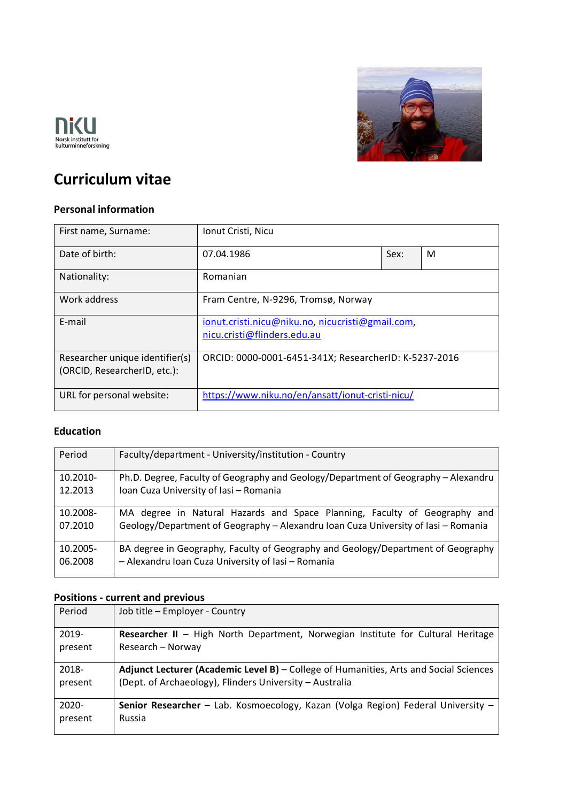



# **Curriculum vitae**

### **Personal information**

| First name, Surname:                                                                                                     | Ionut Cristi, Nicu                                                              |      |   |
|--------------------------------------------------------------------------------------------------------------------------|---------------------------------------------------------------------------------|------|---|
| Date of birth:                                                                                                           | 07.04.1986                                                                      | Sex: | M |
| Nationality:                                                                                                             | Romanian                                                                        |      |   |
| Work address                                                                                                             | Fram Centre, N-9296, Tromsø, Norway                                             |      |   |
| E-mail                                                                                                                   | ionut.cristi.nicu@niku.no, nicucristi@gmail.com,<br>nicu.cristi@flinders.edu.au |      |   |
| Researcher unique identifier(s)<br>ORCID: 0000-0001-6451-341X; ResearcherID: K-5237-2016<br>(ORCID, ResearcherID, etc.): |                                                                                 |      |   |
| https://www.niku.no/en/ansatt/ionut-cristi-nicu/<br>URL for personal website:                                            |                                                                                 |      |   |

#### **Education**

| Period              | Faculty/department - University/institution - Country                                                                                  |
|---------------------|----------------------------------------------------------------------------------------------------------------------------------------|
| 10.2010-            | Ph.D. Degree, Faculty of Geography and Geology/Department of Geography - Alexandru                                                     |
| 12.2013             | Ioan Cuza University of Iasi - Romania                                                                                                 |
| 10.2008-            | MA degree in Natural Hazards and Space Planning, Faculty of Geography and                                                              |
| 07.2010             | Geology/Department of Geography - Alexandru Ioan Cuza University of Iasi - Romania                                                     |
| 10.2005-<br>06.2008 | BA degree in Geography, Faculty of Geography and Geology/Department of Geography<br>- Alexandru Ioan Cuza University of Iasi - Romania |

## **Positions - current and previous**

| Period   | Job title - Employer - Country                                                          |
|----------|-----------------------------------------------------------------------------------------|
| 2019-    | <b>Researcher II</b> - High North Department, Norwegian Institute for Cultural Heritage |
| present  | Research – Norway                                                                       |
| 2018-    | Adjunct Lecturer (Academic Level B) – College of Humanities, Arts and Social Sciences   |
| present  | (Dept. of Archaeology), Flinders University - Australia                                 |
| $2020 -$ | Senior Researcher - Lab. Kosmoecology, Kazan (Volga Region) Federal University -        |
| present  | Russia                                                                                  |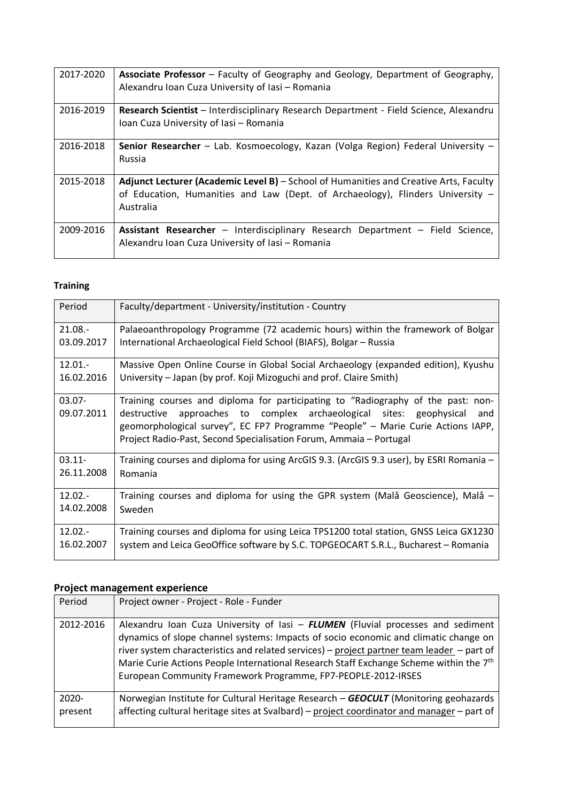| 2017-2020 | Associate Professor - Faculty of Geography and Geology, Department of Geography,<br>Alexandru Ioan Cuza University of Iasi - Romania                                                 |
|-----------|--------------------------------------------------------------------------------------------------------------------------------------------------------------------------------------|
| 2016-2019 | Research Scientist - Interdisciplinary Research Department - Field Science, Alexandru<br>Ioan Cuza University of Iasi - Romania                                                      |
| 2016-2018 | <b>Senior Researcher</b> – Lab. Kosmoecology, Kazan (Volga Region) Federal University –<br>Russia                                                                                    |
| 2015-2018 | Adjunct Lecturer (Academic Level B) - School of Humanities and Creative Arts, Faculty<br>of Education, Humanities and Law (Dept. of Archaeology), Flinders University -<br>Australia |
| 2009-2016 | Assistant Researcher - Interdisciplinary Research Department - Field Science,<br>Alexandru Ioan Cuza University of Iasi - Romania                                                    |

## **Training**

| Period                  | Faculty/department - University/institution - Country                                                                                                                                                                                                                                                                   |
|-------------------------|-------------------------------------------------------------------------------------------------------------------------------------------------------------------------------------------------------------------------------------------------------------------------------------------------------------------------|
| $21.08 -$               | Palaeoanthropology Programme (72 academic hours) within the framework of Bolgar                                                                                                                                                                                                                                         |
| 03.09.2017              | International Archaeological Field School (BIAFS), Bolgar - Russia                                                                                                                                                                                                                                                      |
| $12.01 -$               | Massive Open Online Course in Global Social Archaeology (expanded edition), Kyushu                                                                                                                                                                                                                                      |
| 16.02.2016              | University – Japan (by prof. Koji Mizoguchi and prof. Claire Smith)                                                                                                                                                                                                                                                     |
| $03.07 -$<br>09.07.2011 | Training courses and diploma for participating to "Radiography of the past: non-<br>destructive approaches to complex archaeological sites: geophysical<br>and<br>geomorphological survey", EC FP7 Programme "People" - Marie Curie Actions IAPP,<br>Project Radio-Past, Second Specialisation Forum, Ammaia - Portugal |
| $03.11 -$               | Training courses and diploma for using ArcGIS 9.3. (ArcGIS 9.3 user), by ESRI Romania -                                                                                                                                                                                                                                 |
| 26.11.2008              | Romania                                                                                                                                                                                                                                                                                                                 |
| $12.02 -$               | Training courses and diploma for using the GPR system (Malå Geoscience), Malå –                                                                                                                                                                                                                                         |
| 14.02.2008              | Sweden                                                                                                                                                                                                                                                                                                                  |
| $12.02 -$               | Training courses and diploma for using Leica TPS1200 total station, GNSS Leica GX1230                                                                                                                                                                                                                                   |
| 16.02.2007              | system and Leica GeoOffice software by S.C. TOPGEOCART S.R.L., Bucharest - Romania                                                                                                                                                                                                                                      |

## **Project management experience**

| Period              | Project owner - Project - Role - Funder                                                                                                                                                                                                                                                                                                                                                                                                     |
|---------------------|---------------------------------------------------------------------------------------------------------------------------------------------------------------------------------------------------------------------------------------------------------------------------------------------------------------------------------------------------------------------------------------------------------------------------------------------|
| 2012-2016           | Alexandru Ioan Cuza University of Iasi - FLUMEN (Fluvial processes and sediment<br>dynamics of slope channel systems: Impacts of socio economic and climatic change on<br>river system characteristics and related services) - project partner team leader - part of<br>Marie Curie Actions People International Research Staff Exchange Scheme within the 7 <sup>th</sup><br>European Community Framework Programme, FP7-PEOPLE-2012-IRSES |
| $2020 -$<br>present | Norwegian Institute for Cultural Heritage Research - GEOCULT (Monitoring geohazards<br>affecting cultural heritage sites at Svalbard) – project coordinator and manager – part of                                                                                                                                                                                                                                                           |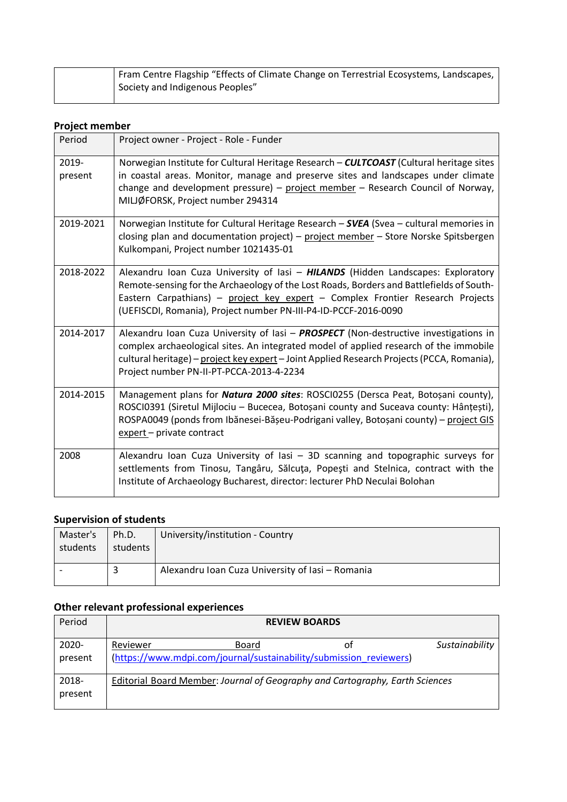|  | Fram Centre Flagship "Effects of Climate Change on Terrestrial Ecosystems, Landscapes, |
|--|----------------------------------------------------------------------------------------|
|  | Society and Indigenous Peoples"                                                        |
|  |                                                                                        |

### **Project member**

| Period           | Project owner - Project - Role - Funder                                                                                                                                                                                                                                                                                           |
|------------------|-----------------------------------------------------------------------------------------------------------------------------------------------------------------------------------------------------------------------------------------------------------------------------------------------------------------------------------|
| 2019-<br>present | Norwegian Institute for Cultural Heritage Research - CULTCOAST (Cultural heritage sites<br>in coastal areas. Monitor, manage and preserve sites and landscapes under climate<br>change and development pressure) - project member - Research Council of Norway,<br>MILJØFORSK, Project number 294314                              |
| 2019-2021        | Norwegian Institute for Cultural Heritage Research - SVEA (Svea - cultural memories in<br>closing plan and documentation project) - project member - Store Norske Spitsbergen<br>Kulkompani, Project number 1021435-01                                                                                                            |
| 2018-2022        | Alexandru Ioan Cuza University of Iasi - HILANDS (Hidden Landscapes: Exploratory<br>Remote-sensing for the Archaeology of the Lost Roads, Borders and Battlefields of South-<br>Eastern Carpathians) - project key expert - Complex Frontier Research Projects<br>(UEFISCDI, Romania), Project number PN-III-P4-ID-PCCF-2016-0090 |
| 2014-2017        | Alexandru Ioan Cuza University of Iasi - PROSPECT (Non-destructive investigations in<br>complex archaeological sites. An integrated model of applied research of the immobile<br>cultural heritage) - project key expert - Joint Applied Research Projects (PCCA, Romania),<br>Project number PN-II-PT-PCCA-2013-4-2234           |
| 2014-2015        | Management plans for Natura 2000 sites: ROSCI0255 (Dersca Peat, Botoșani county),<br>ROSCI0391 (Siretul Mijlociu - Bucecea, Botoșani county and Suceava county: Hânțești),<br>ROSPA0049 (ponds from Ibănesei-Bășeu-Podrigani valley, Botoșani county) - project GIS<br>expert - private contract                                  |
| 2008             | Alexandru Ioan Cuza University of Iasi - 3D scanning and topographic surveys for<br>settlements from Tinosu, Tangâru, Sălcuța, Popești and Stelnica, contract with the<br>Institute of Archaeology Bucharest, director: lecturer PhD Neculai Bolohan                                                                              |

## **Supervision of students**

| Master's<br>students | Ph.D.<br>students | University/institution - Country                 |
|----------------------|-------------------|--------------------------------------------------|
|                      |                   | Alexandru Ioan Cuza University of Iasi - Romania |

## **Other relevant professional experiences**

| Period           |          |                                                                              | <b>REVIEW BOARDS</b> |                |
|------------------|----------|------------------------------------------------------------------------------|----------------------|----------------|
| 2020-<br>present | Reviewer | Board<br>(https://www.mdpi.com/journal/sustainability/submission reviewers)  | οt                   | Sustainability |
| 2018-<br>present |          | Editorial Board Member: Journal of Geography and Cartography, Earth Sciences |                      |                |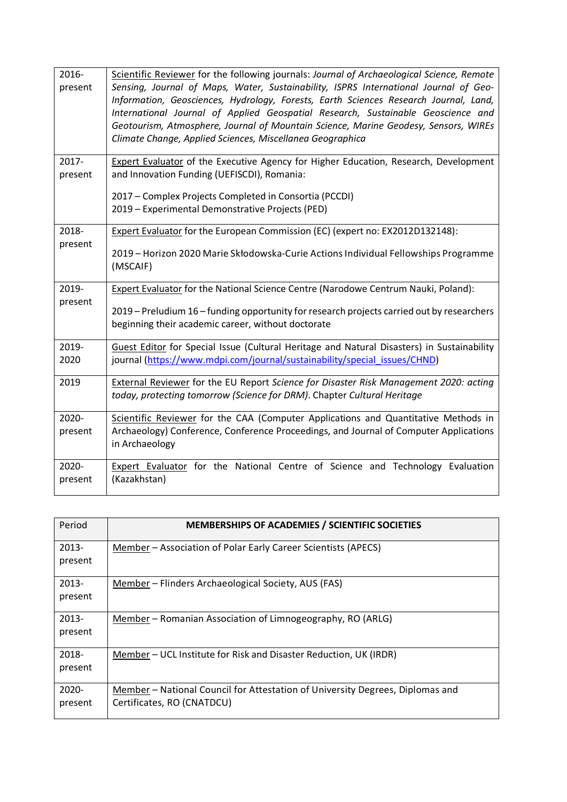| 2016-<br>present | Scientific Reviewer for the following journals: Journal of Archaeological Science, Remote<br>Sensing, Journal of Maps, Water, Sustainability, ISPRS International Journal of Geo-<br>Information, Geosciences, Hydrology, Forests, Earth Sciences Research Journal, Land,<br>International Journal of Applied Geospatial Research, Sustainable Geoscience and<br>Geotourism, Atmosphere, Journal of Mountain Science, Marine Geodesy, Sensors, WIREs<br>Climate Change, Applied Sciences, Miscellanea Geographica |
|------------------|-------------------------------------------------------------------------------------------------------------------------------------------------------------------------------------------------------------------------------------------------------------------------------------------------------------------------------------------------------------------------------------------------------------------------------------------------------------------------------------------------------------------|
| 2017-<br>present | <b>Expert Evaluator</b> of the Executive Agency for Higher Education, Research, Development<br>and Innovation Funding (UEFISCDI), Romania:<br>2017 - Complex Projects Completed in Consortia (PCCDI)<br>2019 - Experimental Demonstrative Projects (PED)                                                                                                                                                                                                                                                          |
| 2018-<br>present | Expert Evaluator for the European Commission (EC) (expert no: EX2012D132148):<br>2019 - Horizon 2020 Marie Skłodowska-Curie Actions Individual Fellowships Programme<br>(MSCAIF)                                                                                                                                                                                                                                                                                                                                  |
| 2019-<br>present | <b>Expert Evaluator for the National Science Centre (Narodowe Centrum Nauki, Poland):</b><br>2019 – Preludium 16 – funding opportunity for research projects carried out by researchers<br>beginning their academic career, without doctorate                                                                                                                                                                                                                                                                     |
| 2019-<br>2020    | Guest Editor for Special Issue (Cultural Heritage and Natural Disasters) in Sustainability<br>journal (https://www.mdpi.com/journal/sustainability/special_issues/CHND)                                                                                                                                                                                                                                                                                                                                           |
| 2019             | External Reviewer for the EU Report Science for Disaster Risk Management 2020: acting<br>today, protecting tomorrow (Science for DRM). Chapter Cultural Heritage                                                                                                                                                                                                                                                                                                                                                  |
| 2020-<br>present | Scientific Reviewer for the CAA (Computer Applications and Quantitative Methods in<br>Archaeology) Conference, Conference Proceedings, and Journal of Computer Applications<br>in Archaeology                                                                                                                                                                                                                                                                                                                     |
| 2020-<br>present | <b>Expert Evaluator</b> for the National Centre of Science and Technology Evaluation<br>(Kazakhstan)                                                                                                                                                                                                                                                                                                                                                                                                              |

| Period              | <b>MEMBERSHIPS OF ACADEMIES / SCIENTIFIC SOCIETIES</b>                                                      |
|---------------------|-------------------------------------------------------------------------------------------------------------|
| $2013 -$<br>present | Member – Association of Polar Early Career Scientists (APECS)                                               |
| $2013 -$<br>present | Member - Flinders Archaeological Society, AUS (FAS)                                                         |
| $2013 -$<br>present | Member – Romanian Association of Limnogeography, RO (ARLG)                                                  |
| 2018-<br>present    | Member – UCL Institute for Risk and Disaster Reduction, UK (IRDR)                                           |
| $2020 -$<br>present | Member – National Council for Attestation of University Degrees, Diplomas and<br>Certificates, RO (CNATDCU) |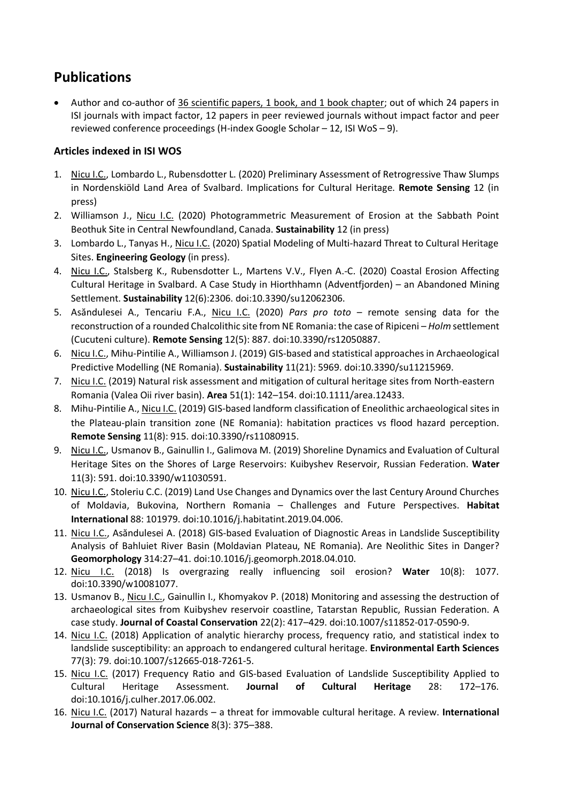## **Publications**

Author and co-author of 36 scientific papers, 1 book, and 1 book chapter; out of which 24 papers in ISI journals with impact factor, 12 papers in peer reviewed journals without impact factor and peer reviewed conference proceedings (H-index Google Scholar – 12, ISI WoS – 9).

## **Articles indexed in ISI WOS**

- 1. Nicu I.C., Lombardo L., Rubensdotter L. (2020) Preliminary Assessment of Retrogressive Thaw Slumps in Nordenskiöld Land Area of Svalbard. Implications for Cultural Heritage. **Remote Sensing** 12 (in press)
- 2. Williamson J., Nicu I.C. (2020) Photogrammetric Measurement of Erosion at the Sabbath Point Beothuk Site in Central Newfoundland, Canada. **Sustainability** 12 (in press)
- 3. Lombardo L., Tanyas H., Nicu I.C. (2020) Spatial Modeling of Multi-hazard Threat to Cultural Heritage Sites. **Engineering Geology** (in press).
- 4. Nicu I.C., Stalsberg K., Rubensdotter L., Martens V.V., Flyen A.-C. (2020) Coastal Erosion Affecting Cultural Heritage in Svalbard. A Case Study in Hiorthhamn (Adventfjorden) – an Abandoned Mining Settlement. **Sustainability** 12(6):2306. doi:10.3390/su12062306.
- 5. Asăndulesei A., Tencariu F.A., Nicu I.C. (2020) *Pars pro toto* remote sensing data for the reconstruction of a rounded Chalcolithic site from NE Romania: the case of Ripiceni – *Holm* settlement (Cucuteni culture). **Remote Sensing** 12(5): 887. doi:10.3390/rs12050887.
- 6. Nicu I.C., Mihu-Pintilie A., Williamson J. (2019) GIS-based and statistical approaches in Archaeological Predictive Modelling (NE Romania). **Sustainability** 11(21): 5969. doi:10.3390/su11215969.
- 7. Nicu I.C. (2019) Natural risk assessment and mitigation of cultural heritage sites from North-eastern Romania (Valea Oii river basin). **Area** 51(1): 142–154. doi:10.1111/area.12433.
- 8. Mihu-Pintilie A., Nicu I.C. (2019) GIS-based landform classification of Eneolithic archaeological sites in the Plateau-plain transition zone (NE Romania): habitation practices vs flood hazard perception. **Remote Sensing** 11(8): 915. doi:10.3390/rs11080915.
- 9. Nicu I.C., Usmanov B., Gainullin I., Galimova M. (2019) Shoreline Dynamics and Evaluation of Cultural Heritage Sites on the Shores of Large Reservoirs: Kuibyshev Reservoir, Russian Federation. **Water** 11(3): 591. doi:10.3390/w11030591.
- 10. Nicu I.C., Stoleriu C.C. (2019) Land Use Changes and Dynamics over the last Century Around Churches of Moldavia, Bukovina, Northern Romania – Challenges and Future Perspectives. **Habitat International** 88: 101979. doi:10.1016/j.habitatint.2019.04.006.
- 11. Nicu I.C., Asăndulesei A. (2018) GIS-based Evaluation of Diagnostic Areas in Landslide Susceptibility Analysis of Bahluiet River Basin (Moldavian Plateau, NE Romania). Are Neolithic Sites in Danger? **Geomorphology** 314:27–41. doi:10.1016/j.geomorph.2018.04.010.
- 12. Nicu I.C. (2018) Is overgrazing really influencing soil erosion? **Water** 10(8): 1077. doi:10.3390/w10081077.
- 13. Usmanov B., Nicu I.C., Gainullin I., Khomyakov P. (2018) Monitoring and assessing the destruction of archaeological sites from Kuibyshev reservoir coastline, Tatarstan Republic, Russian Federation. A case study. **Journal of Coastal Conservation** 22(2): 417–429. doi:10.1007/s11852-017-0590-9.
- 14. Nicu I.C. (2018) Application of analytic hierarchy process, frequency ratio, and statistical index to landslide susceptibility: an approach to endangered cultural heritage. **Environmental Earth Sciences** 77(3): 79. doi:10.1007/s12665-018-7261-5.
- 15. Nicu I.C. (2017) Frequency Ratio and GIS-based Evaluation of Landslide Susceptibility Applied to Cultural Heritage Assessment. **Journal of Cultural Heritage** 28: 172–176. doi:10.1016/j.culher.2017.06.002.
- 16. Nicu I.C. (2017) Natural hazards a threat for immovable cultural heritage. A review. **International Journal of Conservation Science** 8(3): 375–388.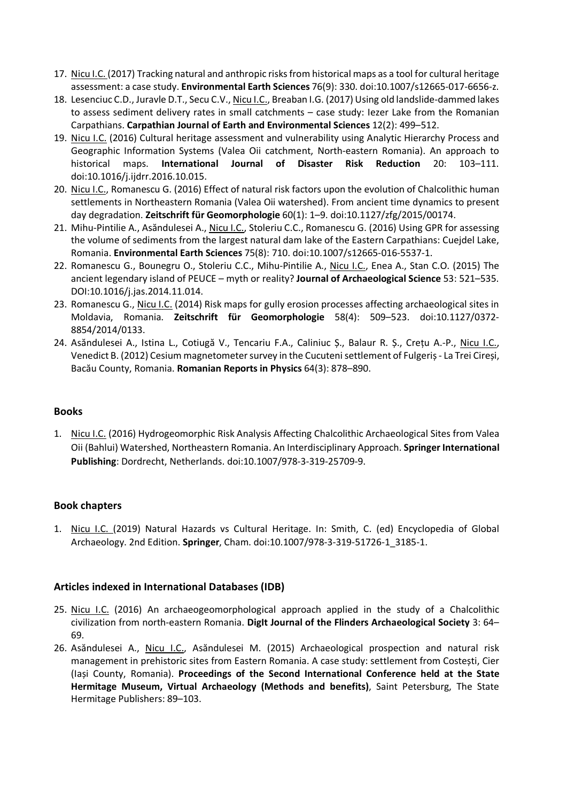- 17. Nicu I.C. (2017) Tracking natural and anthropic risks from historical maps as a tool for cultural heritage assessment: a case study. **Environmental Earth Sciences** 76(9): 330. doi:10.1007/s12665-017-6656-z.
- 18. Lesenciuc C.D., Juravle D.T., Secu C.V., Nicu I.C., Breaban I.G. (2017) Using old landslide-dammed lakes to assess sediment delivery rates in small catchments – case study: Iezer Lake from the Romanian Carpathians. **Carpathian Journal of Earth and Environmental Sciences** 12(2): 499–512.
- 19. Nicu I.C. (2016) Cultural heritage assessment and vulnerability using Analytic Hierarchy Process and Geographic Information Systems (Valea Oii catchment, North-eastern Romania). An approach to historical maps. **International Journal of Disaster Risk Reduction** 20: 103–111. doi:10.1016/j.ijdrr.2016.10.015.
- 20. Nicu I.C., Romanescu G. (2016) Effect of natural risk factors upon the evolution of Chalcolithic human settlements in Northeastern Romania (Valea Oii watershed). From ancient time dynamics to present day degradation. **Zeitschrift für Geomorphologie** 60(1): 1–9. doi:10.1127/zfg/2015/00174.
- 21. Mihu-Pintilie A., Asăndulesei A., Nicu I.C., Stoleriu C.C., Romanescu G. (2016) Using GPR for assessing the volume of sediments from the largest natural dam lake of the Eastern Carpathians: Cuejdel Lake, Romania. **Environmental Earth Sciences** 75(8): 710. doi:10.1007/s12665-016-5537-1.
- 22. Romanescu G., Bounegru O., Stoleriu C.C., Mihu-Pintilie A., Nicu I.C., Enea A., Stan C.O. (2015) The ancient legendary island of PEUCE – myth or reality? **Journal of Archaeological Science** 53: 521–535. DOI:10.1016/j.jas.2014.11.014.
- 23. Romanescu G., Nicu I.C. (2014) Risk maps for gully erosion processes affecting archaeological sites in Moldavia, Romania. **Zeitschrift für Geomorphologie** 58(4): 509–523. doi:10.1127/0372- 8854/2014/0133.
- 24. Asăndulesei A., Istina L., Cotiugă V., Tencariu F.A., Caliniuc Ș., Balaur R. Ș., Crețu A.-P., Nicu I.C., Venedict B. (2012) Cesium magnetometer survey in the Cucuteni settlement of Fulgeriș - La Trei Cireși, Bacău County, Romania. **Romanian Reports in Physics** 64(3): 878–890.

#### **Books**

1. Nicu I.C. (2016) Hydrogeomorphic Risk Analysis Affecting Chalcolithic Archaeological Sites from Valea Oii (Bahlui) Watershed, Northeastern Romania. An Interdisciplinary Approach. **Springer International Publishing**: Dordrecht, Netherlands. doi:10.1007/978-3-319-25709-9.

#### **Book chapters**

1. Nicu I.C. (2019) Natural Hazards vs Cultural Heritage. In: Smith, C. (ed) Encyclopedia of Global Archaeology. 2nd Edition. **Springer**, Cham. doi:10.1007/978-3-319-51726-1\_3185-1.

#### **Articles indexed in International Databases (IDB)**

- 25. Nicu I.C. (2016) An archaeogeomorphological approach applied in the study of a Chalcolithic civilization from north-eastern Romania. **DigIt Journal of the Flinders Archaeological Society** 3: 64– 69.
- 26. Asăndulesei A., Nicu I.C., Asăndulesei M. (2015) Archaeological prospection and natural risk management in prehistoric sites from Eastern Romania. A case study: settlement from Costești, Cier (Iași County, Romania). **Proceedings of the Second International Conference held at the State Hermitage Museum, Virtual Archaeology (Methods and benefits)**, Saint Petersburg, The State Hermitage Publishers: 89–103.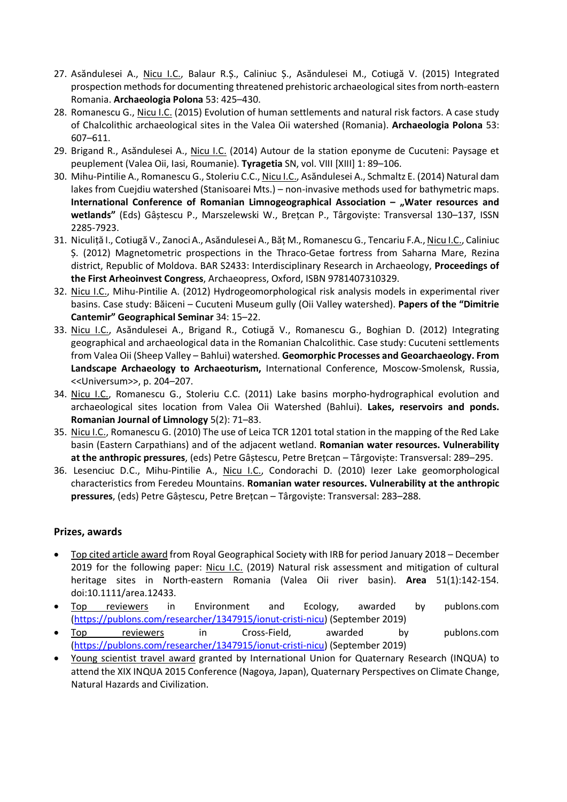- 27. Asăndulesei A., Nicu I.C., Balaur R.Ș., Caliniuc Ș., Asăndulesei M., Cotiugă V. (2015) Integrated prospection methods for documenting threatened prehistoric archaeological sites from north-eastern Romania. **Archaeologia Polona** 53: 425–430.
- 28. Romanescu G., Nicu I.C. (2015) Evolution of human settlements and natural risk factors. A case study of Chalcolithic archaeological sites in the Valea Oii watershed (Romania). **Archaeologia Polona** 53: 607–611.
- 29. Brigand R., Asăndulesei A., Nicu I.C. (2014) Autour de la station eponyme de Cucuteni: Paysage et peuplement (Valea Oii, Iasi, Roumanie). **Tyragetia** SN, vol. VIII [XIII] 1: 89–106.
- 30. Mihu-Pintilie A., Romanescu G., Stoleriu C.C., Nicu I.C., Asăndulesei A., Schmaltz E. (2014) Natural dam lakes from Cuejdiu watershed (Stanisoarei Mts.) – non-invasive methods used for bathymetric maps. International Conference of Romanian Limnogeographical Association – "Water resources and **wetlands"** (Eds) Gâștescu P., Marszelewski W., Brețcan P., Târgoviște: Transversal 130–137, ISSN 2285-7923.
- 31. Niculiță I., Cotiugă V., Zanoci A., Asăndulesei A., Băț M., Romanescu G., Tencariu F.A., Nicu I.C., Caliniuc Ș. (2012) Magnetometric prospections in the Thraco-Getae fortress from Saharna Mare, Rezina district, Republic of Moldova. BAR S2433: Interdisciplinary Research in Archaeology, **Proceedings of the First Arheoinvest Congress**, Archaeopress, Oxford, ISBN 9781407310329.
- 32. Nicu I.C., Mihu-Pintilie A. (2012) Hydrogeomorphological risk analysis models in experimental river basins. Case study: Băiceni – Cucuteni Museum gully (Oii Valley watershed). **Papers of the "Dimitrie Cantemir" Geographical Seminar** 34: 15–22.
- 33. Nicu I.C., Asăndulesei A., Brigand R., Cotiugă V., Romanescu G., Boghian D. (2012) Integrating geographical and archaeological data in the Romanian Chalcolithic. Case study: Cucuteni settlements from Valea Oii (Sheep Valley – Bahlui) watershed. **Geomorphic Processes and Geoarchaeology. From Landscape Archaeology to Archaeoturism,** International Conference, Moscow-Smolensk, Russia, <<Universum>>, p. 204–207.
- 34. Nicu I.C., Romanescu G., Stoleriu C.C. (2011) Lake basins morpho-hydrographical evolution and archaeological sites location from Valea Oii Watershed (Bahlui). **Lakes, reservoirs and ponds. Romanian Journal of Limnology** 5(2): 71–83.
- 35. Nicu I.C., Romanescu G. (2010) The use of Leica TCR 1201 total station in the mapping of the Red Lake basin (Eastern Carpathians) and of the adjacent wetland. **Romanian water resources. Vulnerability at the anthropic pressures**, (eds) Petre Gâștescu, Petre Brețcan – Târgoviște: Transversal: 289–295.
- 36. Lesenciuc D.C., Mihu-Pintilie A., Nicu I.C., Condorachi D. (2010) Iezer Lake geomorphological characteristics from Feredeu Mountains. **Romanian water resources. Vulnerability at the anthropic pressures**, (eds) Petre Gâștescu, Petre Brețcan – Târgoviște: Transversal: 283–288.

#### **Prizes, awards**

- Top cited article award from Royal Geographical Society with IRB for period January 2018 December 2019 for the following paper: Nicu I.C. (2019) Natural risk assessment and mitigation of cultural heritage sites in North-eastern Romania (Valea Oii river basin). **Area** 51(1):142-154. doi:10.1111/area.12433.
- Top reviewers in Environment and Ecology, awarded by publons.com [\(https://publons.com/researcher/1347915/ionut-cristi-nicu\)](https://publons.com/researcher/1347915/ionut-cristi-nicu) (September 2019)
- Top reviewers in Cross-Field, awarded by publons.com [\(https://publons.com/researcher/1347915/ionut-cristi-nicu\)](https://publons.com/researcher/1347915/ionut-cristi-nicu) (September 2019)
- Young scientist travel award granted by International Union for Quaternary Research (INQUA) to attend the XIX INQUA 2015 Conference (Nagoya, Japan), Quaternary Perspectives on Climate Change, Natural Hazards and Civilization.